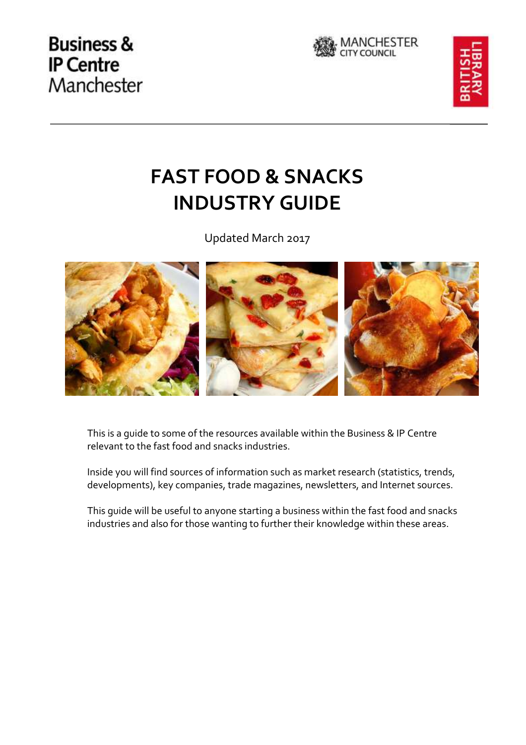





# **FAST FOOD & SNACKS INDUSTRY GUIDE**

Updated March 2017



This is a guide to some of the resources available within the Business & IP Centre relevant to the fast food and snacks industries.

Inside you will find sources of information such as market research (statistics, trends, developments), key companies, trade magazines, newsletters, and Internet sources.

This guide will be useful to anyone starting a business within the fast food and snacks industries and also for those wanting to further their knowledge within these areas.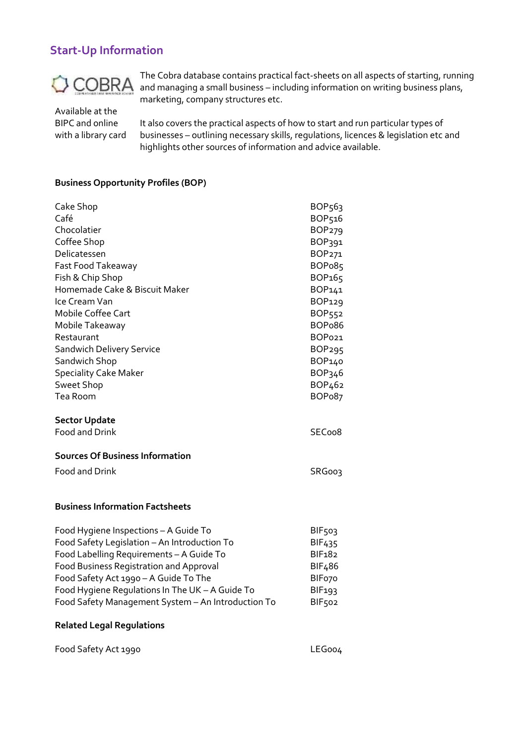# **Start-Up Information**



The Cobra database contains practical fact-sheets on all aspects of starting, running and managing a small business – including information on writing business plans, marketing, company structures etc.

Available at the BIPC and online with a library card

It also covers the practical aspects of how to start and run particular types of businesses – outlining necessary skills, regulations, licences & legislation etc and highlights other sources of information and advice available.

#### **Business Opportunity Profiles (BOP)**

| Cake Shop                                          | BOP <sub>563</sub>  |
|----------------------------------------------------|---------------------|
| Café                                               | BOP516              |
| Chocolatier                                        | BOP <sub>279</sub>  |
| Coffee Shop                                        | BOP391              |
| Delicatessen                                       | BOP271              |
| Fast Food Takeaway                                 | BOP <sub>085</sub>  |
| Fish & Chip Shop                                   | BOP165              |
| Homemade Cake & Biscuit Maker                      | BOP141              |
| Ice Cream Van                                      | BOP129              |
| Mobile Coffee Cart                                 | BOP552              |
| Mobile Takeaway                                    | BOP <sub>0</sub> 86 |
| Restaurant                                         | BOPo21              |
| <b>Sandwich Delivery Service</b>                   | BOP <sub>295</sub>  |
| Sandwich Shop                                      | BOP140              |
| <b>Speciality Cake Maker</b>                       | BOP346              |
| Sweet Shop                                         | BOP <sub>462</sub>  |
| Tea Room                                           | BOP <sub>0</sub> 87 |
| <b>Sector Update</b>                               |                     |
| Food and Drink                                     | SECoo8              |
| <b>Sources Of Business Information</b>             |                     |
| Food and Drink                                     | SRG003              |
|                                                    |                     |
|                                                    |                     |
| <b>Business Information Factsheets</b>             |                     |
| Food Hygiene Inspections - A Guide To              | <b>BIF503</b>       |
| Food Safety Legislation - An Introduction To       | BIF <sub>435</sub>  |
| Food Labelling Requirements - A Guide To           |                     |
| Food Business Registration and Approval            | <b>BIF182</b>       |
|                                                    | BIF <sub>4</sub> 86 |
| Food Safety Act 1990 - A Guide To The              | BIF <sub>070</sub>  |
| Food Hygiene Regulations In The UK - A Guide To    | <b>BIF193</b>       |
| Food Safety Management System - An Introduction To | BIF <sub>502</sub>  |

#### **Related Legal Regulations**

| Food Safety Act 1990 | LEGoo4 |
|----------------------|--------|
|----------------------|--------|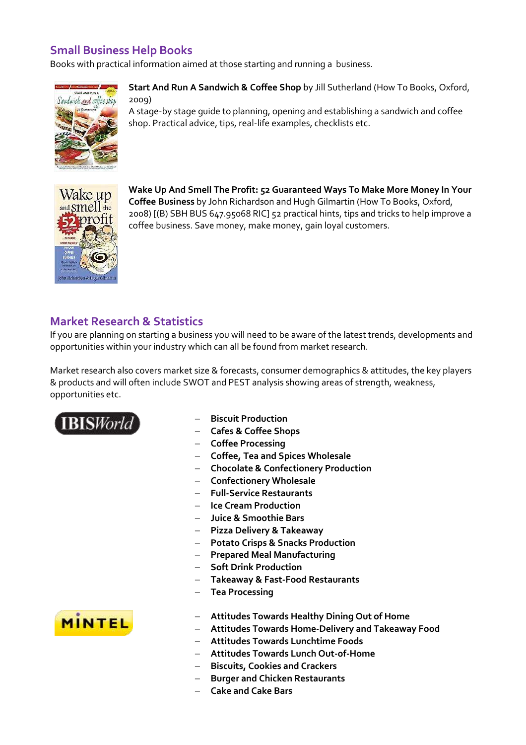# **Small Business Help Books**

Books with practical information aimed at those starting and running a business.



**Start And Run A Sandwich & Coffee Shop** by Jill Sutherland (How To Books, Oxford, 2009)

A stage-by stage guide to planning, opening and establishing a sandwich and coffee shop. Practical advice, tips, real-life examples, checklists etc.



**Wake Up And Smell The Profit: 52 Guaranteed Ways To Make More Money In Your Coffee Business** by John Richardson and Hugh Gilmartin (How To Books, Oxford, 2008) [(B) SBH BUS 647.95068 RIC] 52 practical hints, tips and tricks to help improve a coffee business. Save money, make money, gain loyal customers.

# **Market Research & Statistics**

If you are planning on starting a business you will need to be aware of the latest trends, developments and opportunities within your industry which can all be found from market research.

Market research also covers market size & forecasts, consumer demographics & attitudes, the key players & products and will often include SWOT and PEST analysis showing areas of strength, weakness, opportunities etc.



- **Biscuit Production**
- **Cafes & Coffee Shops**
- **Coffee Processing**
- **Coffee, Tea and Spices Wholesale**
- **Chocolate & Confectionery Production**
- **Confectionery Wholesale**
- **Full-Service Restaurants**
- **Ice Cream Production**
- **Juice & Smoothie Bars**
- **Pizza Delivery & Takeaway**
- **Potato Crisps & Snacks Production**
- **Prepared Meal Manufacturing**
- **Soft Drink Production**
- **Takeaway & Fast-Food Restaurants**
- **Tea Processing**
- **Attitudes Towards Healthy Dining Out of Home**
- **Attitudes Towards Home-Delivery and Takeaway Food**
- **Attitudes Towards Lunchtime Foods**
- **Attitudes Towards Lunch Out-of-Home**
- **Biscuits, Cookies and Crackers**
- **Burger and Chicken Restaurants**
- **Cake and Cake Bars**

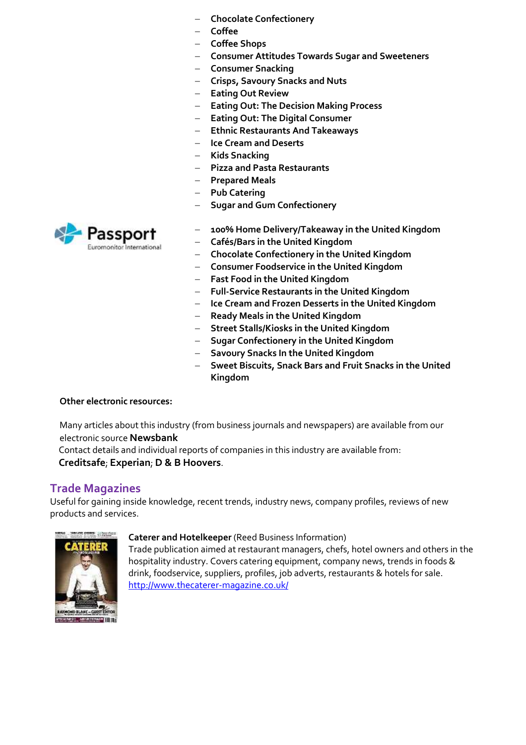- **Chocolate Confectionery**
- **Coffee**
- **Coffee Shops**
- **Consumer Attitudes Towards Sugar and Sweeteners**
- **Consumer Snacking**
- **Crisps, Savoury Snacks and Nuts**
- **Eating Out Review**
- **Eating Out: The Decision Making Process**
- **Eating Out: The Digital Consumer**
- **Ethnic Restaurants And Takeaways**
- **Ice Cream and Deserts**
- **Kids Snacking**
- **Pizza and Pasta Restaurants**
- **Prepared Meals**
- Pub Catering
- **Sugar and Gum Confectionery**
- **100% Home Delivery/Takeaway in the United Kingdom**
- **Cafés/Bars in the United Kingdom**
- **Chocolate Confectionery in the United Kingdom**
- **Consumer Foodservice in the United Kingdom**
- **Fast Food in the United Kingdom**
- **Full-Service Restaurants in the United Kingdom**
- **Ice Cream and Frozen Desserts in the United Kingdom**
- **Ready Meals in the United Kingdom**
- **Street Stalls/Kiosks in the United Kingdom**
- **Sugar Confectionery in the United Kingdom**
- **Savoury Snacks In the United Kingdom**
- **Sweet Biscuits, Snack Bars and Fruit Snacks in the United Kingdom**

#### **Other electronic resources:**

Many articles about this industry (from business journals and newspapers) are available from our electronic source **Newsbank**

 Contact details and individual reports of companies in this industry are available from: **Creditsafe**; **Experian**; **D & B Hoovers**.

## **Trade Magazines**

Useful for gaining inside knowledge, recent trends, industry news, company profiles, reviews of new products and services.



#### **Caterer and Hotelkeeper** (Reed Business Information)

Trade publication aimed at restaurant managers, chefs, hotel owners and others in the hospitality industry. Covers catering equipment, company news, trends in foods & drink, foodservice, suppliers, profiles, job adverts, restaurants & hotels for sale. <http://www.thecaterer-magazine.co.uk/>

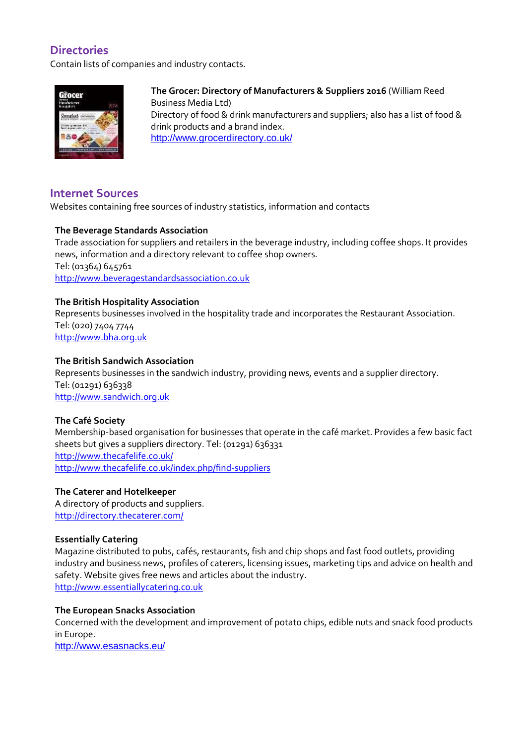# **Directories**

Contain lists of companies and industry contacts.



**The Grocer: Directory of Manufacturers & Suppliers 2016** (William Reed Business Media Ltd) Directory of food & drink manufacturers and suppliers; also has a list of food & drink products and a brand index. <http://www.grocerdirectory.co.uk/>

# **Internet Sources**

Websites containing free sources of industry statistics, information and contacts

## **The Beverage Standards Association**

Trade association for suppliers and retailers in the beverage industry, including coffee shops. It provides news, information and a directory relevant to coffee shop owners. Tel: (01364) 645761 [http://www.beveragestandardsassociation.co.uk](http://www.beveragestandardsassociation.co.uk/)

## **The British Hospitality Association**

Represents businesses involved in the hospitality trade and incorporates the Restaurant Association. Tel: (020) 7404 7744 [http://www.bha.org.uk](http://www.bha.org.uk/)

## **The British Sandwich Association**

Represents businesses in the sandwich industry, providing news, events and a supplier directory. Tel: (01291) 636338 [http://www.sandwich.org.uk](http://www.sandwich.org.uk/)

#### **The Café Society**

Membership-based organisation for businesses that operate in the café market. Provides a few basic fact sheets but gives a suppliers directory. Tel: (01291) 636331 <http://www.thecafelife.co.uk/> <http://www.thecafelife.co.uk/index.php/find-suppliers>

#### **The Caterer and Hotelkeeper**

A directory of products and suppliers. <http://directory.thecaterer.com/>

#### **Essentially Catering**

Magazine distributed to pubs, cafés, restaurants, fish and chip shops and fast food outlets, providing industry and business news, profiles of caterers, licensing issues, marketing tips and advice on health and safety. Website gives free news and articles about the industry. [http://www.essentiallycatering.co.uk](http://www.essentiallycatering.co.uk/)

#### **The European Snacks Association**

Concerned with the development and improvement of potato chips, edible nuts and snack food products in Europe.

<http://www.esasnacks.eu/>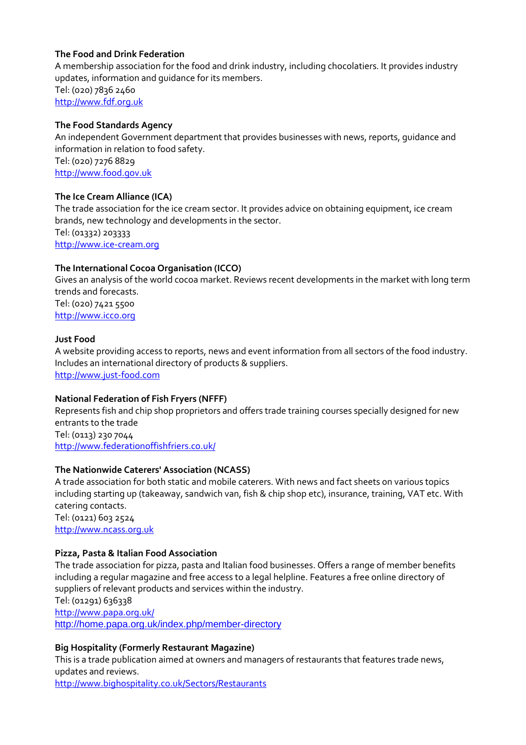## **The Food and Drink Federation**

A membership association for the food and drink industry, including chocolatiers. It provides industry updates, information and guidance for its members.

Tel: (020) 7836 2460 [http://www.fdf.org.uk](http://www.fdf.org.uk/)

#### **The Food Standards Agency**

An independent Government department that provides businesses with news, reports, guidance and information in relation to food safety.

Tel: (020) 7276 8829 [http://www.food.gov.uk](http://www.food.gov.uk/)

#### **The Ice Cream Alliance (ICA)**

The trade association for the ice cream sector. It provides advice on obtaining equipment, ice cream brands, new technology and developments in the sector. Tel: (01332) 203333

[http://www.ice-cream.org](http://www.ice-cream.org/)

#### **The International Cocoa Organisation (ICCO)**

Gives an analysis of the world cocoa market. Reviews recent developments in the market with long term trends and forecasts. Tel: (020) 7421 5500 [http://www.icco.org](http://www.icco.org/)

#### **Just Food**

A website providing access to reports, news and event information from all sectors of the food industry. Includes an international directory of products & suppliers. [http://www.just-food.com](http://www.just-food.com/)

#### **National Federation of Fish Fryers (NFFF)**

Represents fish and chip shop proprietors and offers trade training courses specially designed for new entrants to the trade Tel: (0113) 230 7044

<http://www.federationoffishfriers.co.uk/>

#### **The Nationwide Caterers' Association (NCASS)**

A trade association for both static and mobile caterers. With news and fact sheets on various topics including starting up (takeaway, sandwich van, fish & chip shop etc), insurance, training, VAT etc. With catering contacts. Tel: (0121) 603 2524

[http://www.ncass.org.uk](http://www.ncass.org.uk/)

#### **Pizza, Pasta & Italian Food Association**

The trade association for pizza, pasta and Italian food businesses. Offers a range of member benefits including a regular magazine and free access to a legal helpline. Features a free online directory of suppliers of relevant products and services within the industry. Tel: (01291) 636338 <http://www.papa.org.uk/> <http://home.papa.org.uk/index.php/member-directory>

#### **Big Hospitality (Formerly Restaurant Magazine)**

This is a trade publication aimed at owners and managers of restaurants that features trade news, updates and reviews.

<http://www.bighospitality.co.uk/Sectors/Restaurants>